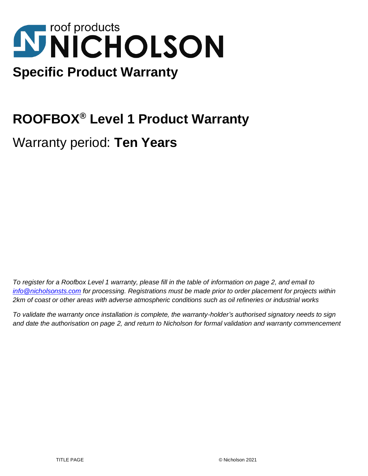# **NNICHOLSON Specific Product Warranty**

## **ROOFBOX® Level 1 Product Warranty**

Warranty period: **Ten Years**

*To register for a Roofbox Level 1 warranty, please fill in the table of information on page 2, and email to info@nicholsonsts.com for processing. Registrations must be made prior to order placement for projects within 2km of coast or other areas with adverse atmospheric conditions such as oil refineries or industrial works*

*To validate the warranty once installation is complete, the warranty-holder's authorised signatory needs to sign and date the authorisation on page 2, and return to Nicholson for formal validation and warranty commencement*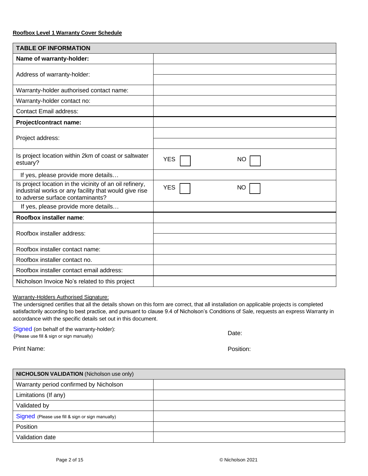| <b>TABLE OF INFORMATION</b>                                                                                                                          |            |           |  |  |
|------------------------------------------------------------------------------------------------------------------------------------------------------|------------|-----------|--|--|
| Name of warranty-holder:                                                                                                                             |            |           |  |  |
| Address of warranty-holder:                                                                                                                          |            |           |  |  |
| Warranty-holder authorised contact name:                                                                                                             |            |           |  |  |
| Warranty-holder contact no:                                                                                                                          |            |           |  |  |
| <b>Contact Email address:</b>                                                                                                                        |            |           |  |  |
| Project/contract name:                                                                                                                               |            |           |  |  |
| Project address:                                                                                                                                     |            |           |  |  |
| Is project location within 2km of coast or saltwater<br>estuary?                                                                                     | <b>YES</b> | ΝO        |  |  |
| If yes, please provide more details                                                                                                                  |            |           |  |  |
| Is project location in the vicinity of an oil refinery,<br>industrial works or any facility that would give rise<br>to adverse surface contaminants? | <b>YES</b> | <b>NO</b> |  |  |
| If yes, please provide more details                                                                                                                  |            |           |  |  |
| Roofbox installer name:                                                                                                                              |            |           |  |  |
| Roofbox installer address:                                                                                                                           |            |           |  |  |
| Roofbox installer contact name:                                                                                                                      |            |           |  |  |
| Roofbox installer contact no.                                                                                                                        |            |           |  |  |
| Roofbox installer contact email address:                                                                                                             |            |           |  |  |
| Nicholson Invoice No's related to this project                                                                                                       |            |           |  |  |

Warranty-Holders Authorised Signature:

The undersigned certifies that all the details shown on this form are correct, that all installation on applicable projects is completed satisfactorily according to best practice, and pursuant to clause 9.4 of Nicholson's Conditions of Sale, requests an express Warranty in accordance with the specific details set out in this document.

Signed (on behalf of the warranty-holder): (Please use fill & sign or sign manually)

Date:

Print Name:

Position:

| <b>NICHOLSON VALIDATION (Nicholson use only)</b> |  |  |
|--------------------------------------------------|--|--|
| Warranty period confirmed by Nicholson           |  |  |
| Limitations (If any)                             |  |  |
| Validated by                                     |  |  |
| Signed (Please use fill & sign or sign manually) |  |  |
| Position                                         |  |  |
| Validation date                                  |  |  |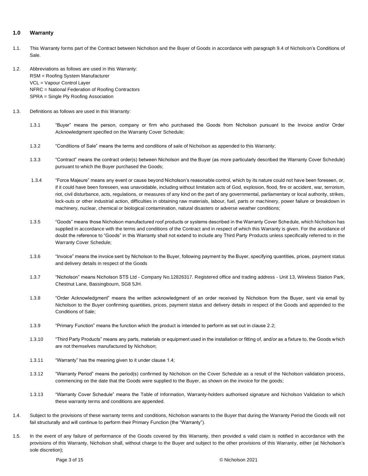#### **1.0 Warranty**

- 1.1. This Warranty forms part of the Contract between Nicholson and the Buyer of Goods in accordance with paragraph 9.4 of Nicholson's Conditions of Sale.
- 1.2. Abbreviations as follows are used in this Warranty: RSM = Roofing System Manufacturer VCL = Vapour Control Layer NFRC = National Federation of Roofing Contractors SPRA = Single Ply Roofing Association
- 1.3. Definitions as follows are used in this Warranty:
	- 1.3.1 "Buyer" means the person, company or firm who purchased the Goods from Nicholson pursuant to the Invoice and/or Order Acknowledgment specified on the Warranty Cover Schedule;
	- 1.3.2 "Conditions of Sale" means the terms and conditions of sale of Nicholson as appended to this Warranty;
	- 1.3.3 "Contract" means the contract order(s) between Nicholson and the Buyer (as more particularly described the Warranty Cover Schedule) pursuant to which the Buyer purchased the Goods;
	- 1.3.4 "Force Majeure" means any event or cause beyond Nicholson's reasonable control, which by its nature could not have been foreseen, or, if it could have been foreseen, was unavoidable, including without limitation acts of God, explosion, flood, fire or accident, war, terrorism, riot, civil disturbance, acts, regulations, or measures of any kind on the part of any governmental, parliamentary or local authority, strikes, lock-outs or other industrial action, difficulties in obtaining raw materials, labour, fuel, parts or machinery, power failure or breakdown in machinery, nuclear, chemical or biological contamination, natural disasters or adverse weather conditions;
	- 1.3.5 "Goods" means those Nicholson manufactured roof products or systems described in the Warranty Cover Schedule, which Nicholson has supplied in accordance with the terms and conditions of the Contract and in respect of which this Warranty is given. For the avoidance of doubt the reference to "Goods" in this Warranty shall not extend to include any Third Party Products unless specifically referred to in the Warranty Cover Schedule;
	- 1.3.6 "Invoice" means the invoice sent by Nicholson to the Buyer, following payment by the Buyer, specifying quantities, prices, payment status and delivery details in respect of the Goods
	- 1.3.7 "Nicholson" means Nicholson STS Ltd Company No.12826317. Registered office and trading address Unit 13, Wireless Station Park, Chestnut Lane, Bassingbourn, SG8 5JH.
	- 1.3.8 "Order Acknowledgment" means the written acknowledgment of an order received by Nicholson from the Buyer, sent via email by Nicholson to the Buyer confirming quantities, prices, payment status and delivery details in respect of the Goods and appended to the Conditions of Sale;
	- 1.3.9 "Primary Function" means the function which the product is intended to perform as set out in clause 2.2;
	- 1.3.10 "Third Party Products" means any parts, materials or equipment used in the installation or fitting of, and/or as a fixture to, the Goods which are not themselves manufactured by Nicholson;
	- 1.3.11 "Warranty" has the meaning given to it under clause 1.4;
	- 1.3.12 "Warranty Period" means the period(s) confirmed by Nicholson on the Cover Schedule as a result of the Nicholson validation process, commencing on the date that the Goods were supplied to the Buyer, as shown on the invoice for the goods;
	- 1.3.13 "Warranty Cover Schedule" means the Table of Information, Warranty-holders authorised signature and Nicholson Validation to which these warranty terms and conditions are appended.
- 1.4. Subject to the provisions of these warranty terms and conditions, Nicholson warrants to the Buyer that during the Warranty Period the Goods will not fail structurally and will continue to perform their Primary Function (the "Warranty").
- 1.5. In the event of any failure of performance of the Goods covered by this Warranty, then provided a valid claim is notified in accordance with the provisions of this Warranty, Nicholson shall, without charge to the Buyer and subject to the other provisions of this Warranty, either (at Nicholson's sole discretion);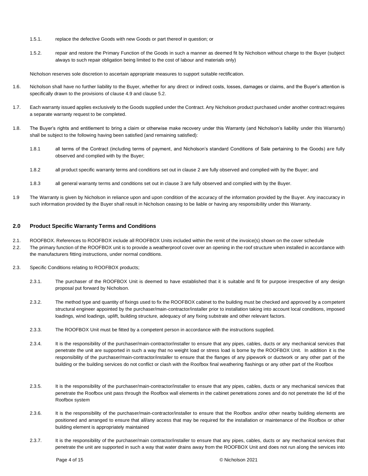- 1.5.1. replace the defective Goods with new Goods or part thereof in question; or
- 1.5.2. repair and restore the Primary Function of the Goods in such a manner as deemed fit by Nicholson without charge to the Buyer (subject always to such repair obligation being limited to the cost of labour and materials only)

Nicholson reserves sole discretion to ascertain appropriate measures to support suitable rectification.

- 1.6. Nicholson shall have no further liability to the Buyer, whether for any direct or indirect costs, losses, damages or claims, and the Buyer's attention is specifically drawn to the provisions of clause 4.9 and clause 5.2.
- 1.7. Each warranty issued applies exclusively to the Goods supplied under the Contract. Any Nicholson product purchased under another contract requires a separate warranty request to be completed.
- 1.8. The Buyer's rights and entitlement to bring a claim or otherwise make recovery under this Warranty (and Nicholson's liability under this Warranty) shall be subject to the following having been satisfied (and remaining satisfied):
	- 1.8.1 all terms of the Contract (including terms of payment, and Nicholson's standard Conditions of Sale pertaining to the Goods) are fully observed and complied with by the Buyer;
	- 1.8.2 all product specific warranty terms and conditions set out in clause 2 are fully observed and complied with by the Buyer; and
	- 1.8.3 all general warranty terms and conditions set out in clause 3 are fully observed and complied with by the Buyer.
- 1.9 The Warranty is given by Nicholson in reliance upon and upon condition of the accuracy of the information provided by the Buyer. Any inaccuracy in such information provided by the Buyer shall result in Nicholson ceasing to be liable or having any responsibility under this Warranty.

#### **2.0 Product Specific Warranty Terms and Conditions**

- 2.1. ROOFBOX. References to ROOFBOX include all ROOFBOX Units included within the remit of the invoice(s) shown on the cover schedule
- 2.2. The primary function of the ROOFBOX unit is to provide a weatherproof cover over an opening in the roof structure when installed in accordance with the manufacturers fitting instructions, under normal conditions.
- 2.3. Specific Conditions relating to ROOFBOX products;
	- 2.3.1. The purchaser of the ROOFBOX Unit is deemed to have established that it is suitable and fit for purpose irrespective of any design proposal put forward by Nicholson.
	- 2.3.2. The method type and quantity of fixings used to fix the ROOFBOX cabinet to the building must be checked and approved by a competent structural engineer appointed by the purchaser/main-contractor/installer prior to installation taking into account local conditions, imposed loadings, wind loadings, uplift, building structure, adequacy of any fixing substrate and other relevant factors.
	- 2.3.3. The ROOFBOX Unit must be fitted by a competent person in accordance with the instructions supplied.
	- 2.3.4. It is the responsibility of the purchaser/main-contractor/installer to ensure that any pipes, cables, ducts or any mechanical services that penetrate the unit are supported in such a way that no weight load or stress load is borne by the ROOFBOX Unit. In addition it is the responsibility of the purchaser/main-contractor/installer to ensure that the flanges of any pipework or ductwork or any other part of the building or the building services do not conflict or clash with the Roofbox final weathering flashings or any other part of the Roofbox
	- 2.3.5. It is the responsibility of the purchaser/main-contractor/installer to ensure that any pipes, cables, ducts or any mechanical services that penetrate the Roofbox unit pass through the Roofbox wall elements in the cabinet penetrations zones and do not penetrate the lid of the Roofbox system
	- 2.3.6. It is the responsibility of the purchaser/main-contractor/installer to ensure that the Roofbox and/or other nearby building elements are positioned and arranged to ensure that all/any access that may be required for the installation or maintenance of the Roofbox or other building element is appropriately maintained
	- 2.3.7. It is the responsibility of the purchaser/main contractor/installer to ensure that any pipes, cables, ducts or any mechanical services that penetrate the unit are supported in such a way that water drains away from the ROOFBOX Unit and does not run along the services into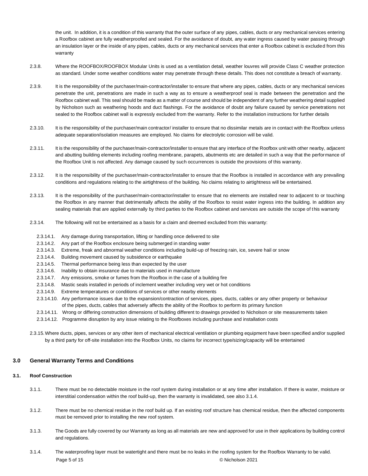the unit. In addition, it is a condition of this warranty that the outer surface of any pipes, cables, ducts or any mechanical services entering a Roofbox cabinet are fully weatherproofed and sealed. For the avoidance of doubt, any water ingress caused by water passing through an insulation layer or the inside of any pipes, cables, ducts or any mechanical services that enter a Roofbox cabinet is excluded from this warranty

- 2.3.8. Where the ROOFBOX/ROOFBOX Modular Units is used as a ventilation detail, weather louvres will provide Class C weather protection as standard. Under some weather conditions water may penetrate through these details. This does not constitute a breach of warranty.
- 2.3.9. It is the responsibility of the purchaser/main-contractor/installer to ensure that where any pipes, cables, ducts or any mechanical services penetrate the unit, penetrations are made in such a way as to ensure a weatherproof seal is made between the penetration and the Roofbox cabinet wall. This seal should be made as a matter of course and should be independent of any further weathering detail supplied by Nicholson such as weathering hoods and duct flashings. For the avoidance of doubt any failure caused by service penetrations not sealed to the Roofbox cabinet wall is expressly excluded from the warranty. Refer to the installation instructions for further details
- 2.3.10. It is the responsibility of the purchaser/main contractor/ installer to ensure that no dissimilar metals are in contact with the Roofbox unless adequate separation/isolation measures are employed. No claims for electrolytic corrosion will be valid.
- 2.3.11. It is the responsibility of the purchaser/main-contractor/installer to ensure that any interface of the Roofbox unit with other nearby, adjacent and abutting building elements including roofing membrane, parapets, abutments etc are detailed in such a way that the performance of the Roofbox Unit is not affected. Any damage caused by such occurrences is outside the provisions of this warranty.
- 2.3.12. It is the responsibility of the purchaser/main-contractor/installer to ensure that the Roofbox is installed in accordance with any prevailing conditions and regulations relating to the airtightness of the building. No claims relating to airtightness will be entertained.
- 2.3.13. It is the responsibility of the purchaser/main-contractor/installer to ensure that no elements are installed near to adjacent to or touching the Roofbox in any manner that detrimentally affects the ability of the Roofbox to resist water ingress into the building. In addition any sealing materials that are applied externally by third parties to the Roofbox cabinet and services are outside the scope of this warranty
- 2.3.14. The following will not be entertained as a basis for a claim and deemed excluded from this warranty:
- 2.3.14.1. Any damage during transportation, lifting or handling once delivered to site
- 2.3.14.2. Any part of the Roofbox enclosure being submerged in standing water
- 2.3.14.3. Extreme, freak and abnormal weather conditions including build-up of freezing rain, ice, severe hail or snow
- 2.3.14.4. Building movement caused by subsidence or earthquake
- 2.3.14.5. Thermal performance being less than expected by the user
- 2.3.14.6. Inability to obtain insurance due to materials used in manufacture
- 2.3.14.7. Any emissions, smoke or fumes from the Roofbox in the case of a building fire
- 2.3.14.8. Mastic seals installed in periods of inclement weather including very wet or hot conditions
- 2.3.14.9. Extreme temperatures or conditions of services or other nearby elements
- 2.3.14.10. Any performance issues due to the expansion/contraction of services, pipes, ducts, cables or any other property or behaviour of the pipes, ducts, cables that adversely affects the ability of the Roofbox to perform its primary function
- 2.3.14.11. Wrong or differing construction dimensions of building different to drawings provided to Nicholson or site measurements taken
- 2.3.14.12. Programme disruption by any issue relating to the Roofboxes including purchase and installation costs
- 2.3.15.Where ducts, pipes, services or any other item of mechanical electrical ventilation or plumbing equipment have been specified and/or supplied by a third party for off-site installation into the Roofbox Units, no claims for incorrect type/sizing/capacity will be entertained

#### **3.0 General Warranty Terms and Conditions**

#### **3.1. Roof Construction**

- 3.1.1. There must be no detectable moisture in the roof system during installation or at any time after installation. If there is water, moisture or interstitial condensation within the roof build-up, then the warranty is invalidated, see also 3.1.4.
- 3.1.2. There must be no chemical residue in the roof build up. If an existing roof structure has chemical residue, then the affected components must be removed prior to installing the new roof system.
- 3.1.3. The Goods are fully covered by our Warranty as long as all materials are new and approved for use in their applications by building control and regulations.
- Page 5 of 15 **Decision 2021 Contract Contract Contract Contract Contract Contract Contract Contract Contract Contract Contract Contract Contract Contract Contract Contract Contract Contract Contract Contract Contract Con** 3.1.4. The waterproofing layer must be watertight and there must be no leaks in the roofing system for the Roofbox Warranty to be valid.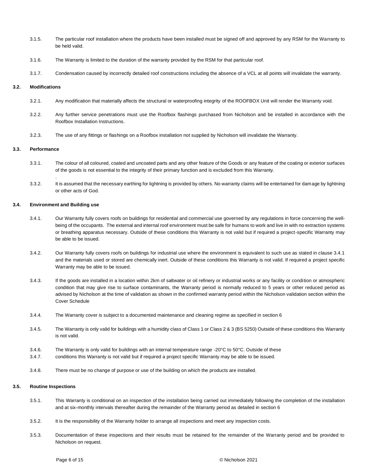- 3.1.5. The particular roof installation where the products have been installed must be signed off and approved by any RSM for the Warranty to be held valid.
- 3.1.6. The Warranty is limited to the duration of the warranty provided by the RSM for that particular roof.
- 3.1.7. Condensation caused by incorrectly detailed roof constructions including the absence of a VCL at all points will invalidate the warranty.

#### **3.2. Modifications**

- 3.2.1. Any modification that materially affects the structural or waterproofing integrity of the ROOFBOX Unit will render the Warranty void.
- 3.2.2. Any further service penetrations must use the Roofbox flashings purchased from Nicholson and be installed in accordance with the Roofbox Installation Instructions.
- 3.2.3. The use of any fittings or flashings on a Roofbox installation not supplied by Nicholson will invalidate the Warranty.

#### **3.3. Performance**

- 3.3.1. The colour of all coloured, coated and uncoated parts and any other feature of the Goods or any feature of the coating or exterior surfaces of the goods is not essential to the integrity of their primary function and is excluded from this Warranty.
- 3.3.2. It is assumed that the necessary earthing for lightning is provided by others. No warranty claims will be entertained for damage by lightning or other acts of God.

#### **3.4. Environment and Building use**

.

- 3.4.1. Our Warranty fully covers roofs on buildings for residential and commercial use governed by any regulations in force concerning the wellbeing of the occupants. The external and internal roof environment must be safe for humans to work and live in with no extraction systems or breathing apparatus necessary. Outside of these conditions this Warranty is not valid but if required a project-specific Warranty may be able to be issued.
- 3.4.2. Our Warranty fully covers roofs on buildings for industrial use where the environment is equivalent to such use as stated in clause 3.4.1 and the materials used or stored are chemically inert. Outside of these conditions this Warranty is not valid. If required a project specific Warranty may be able to be issued.
- 3.4.3. If the goods are installed in a location within 2km of saltwater or oil refinery or industrial works or any facility or condition or atmospheric condition that may give rise to surface contaminants, the Warranty period is normally reduced to 5 years or other reduced period as advised by Nicholson at the time of validation as shown in the confirmed warranty period within the Nicholson validation section within the Cover Schedule
- 3.4.4. The Warranty cover is subject to a documented maintenance and cleaning regime as specified in section 6
- 3.4.5. The Warranty is only valid for buildings with a humidity class of Class 1 or Class 2 & 3 (BS 5250) Outside of these conditions this Warranty is not valid.
- 3.4.6. The Warranty is only valid for buildings with an internal temperature range -20°C to 50°C. Outside of these
- 3.4.7. conditions this Warranty is not valid but if required a project specific Warranty may be able to be issued.
- 3.4.8. There must be no change of purpose or use of the building on which the products are installed.

#### **3.5. Routine Inspections**

- 3.5.1. This Warranty is conditional on an inspection of the installation being carried out immediately following the completion of the installation and at six-monthly intervals thereafter during the remainder of the Warranty period as detailed in section 6
- 3.5.2. It is the responsibility of the Warranty holder to arrange all inspections and meet any inspection costs.
- 3.5.3. Documentation of these inspections and their results must be retained for the remainder of the Warranty period and be provided to Nicholson on request.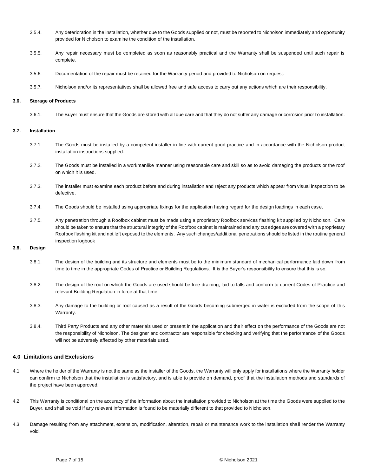- 3.5.4. Any deterioration in the installation, whether due to the Goods supplied or not, must be reported to Nicholson immediately and opportunity provided for Nicholson to examine the condition of the installation.
- 3.5.5. Any repair necessary must be completed as soon as reasonably practical and the Warranty shall be suspended until such repair is complete.
- 3.5.6. Documentation of the repair must be retained for the Warranty period and provided to Nicholson on request.
- 3.5.7. Nicholson and/or its representatives shall be allowed free and safe access to carry out any actions which are their responsibility.

#### **3.6. Storage of Products**

3.6.1. The Buyer must ensure that the Goods are stored with all due care and that they do not suffer any damage or corrosion prior to installation.

#### **3.7. Installation**

- 3.7.1. The Goods must be installed by a competent installer in line with current good practice and in accordance with the Nicholson product installation instructions supplied.
- 3.7.2. The Goods must be installed in a workmanlike manner using reasonable care and skill so as to avoid damaging the products or the roof on which it is used.
- 3.7.3. The installer must examine each product before and during installation and reject any products which appear from visual inspection to be defective.
- 3.7.4. The Goods should be installed using appropriate fixings for the application having regard for the design loadings in each case.
- 3.7.5. Any penetration through a Roofbox cabinet must be made using a proprietary Roofbox services flashing kit supplied by Nicholson. Care should be taken to ensure that the structural integrity of the Roofbox cabinet is maintained and any cut edges are covered with a proprietary Roofbox flashing kit and not left exposed to the elements. Any such changes/additional penetrations should be listed in the routine general inspection logbook

### **3.8. Design**

- 3.8.1. The design of the building and its structure and elements must be to the minimum standard of mechanical performance laid down from time to time in the appropriate Codes of Practice or Building Regulations. It is the Buyer's responsibility to ensure that this is so.
- 3.8.2. The design of the roof on which the Goods are used should be free draining, laid to falls and conform to current Codes of Practice and relevant Building Regulation in force at that time.
- 3.8.3. Any damage to the building or roof caused as a result of the Goods becoming submerged in water is excluded from the scope of this Warranty.
- 3.8.4. Third Party Products and any other materials used or present in the application and their effect on the performance of the Goods are not the responsibility of Nicholson. The designer and contractor are responsible for checking and verifying that the performance of the Goods will not be adversely affected by other materials used.

#### **4.0 Limitations and Exclusions**

- 4.1 Where the holder of the Warranty is not the same as the installer of the Goods, the Warranty will only apply for installations where the Warranty holder can confirm to Nicholson that the installation is satisfactory, and is able to provide on demand, proof that the installation methods and standards of the project have been approved.
- 4.2 This Warranty is conditional on the accuracy of the information about the installation provided to Nicholson at the time the Goods were supplied to the Buyer, and shall be void if any relevant information is found to be materially different to that provided to Nicholson.
- 4.3 Damage resulting from any attachment, extension, modification, alteration, repair or maintenance work to the installation shall render the Warranty void.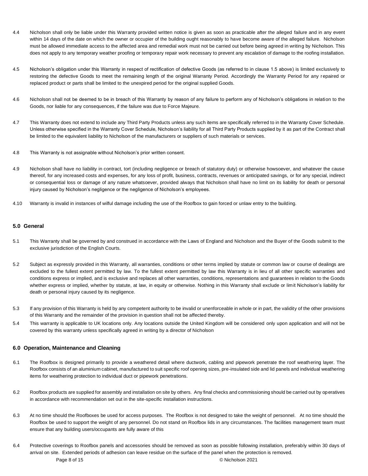- 4.4 Nicholson shall only be liable under this Warranty provided written notice is given as soon as practicable after the alleged failure and in any event within 14 days of the date on which the owner or occupier of the building ought reasonably to have become aware of the alleged failure. Nicholson must be allowed immediate access to the affected area and remedial work must not be carried out before being agreed in writing by Nicholson. This does not apply to any temporary weather proofing or temporary repair work necessary to prevent any escalation of damage to the roofing installation.
- 4.5 Nicholson's obligation under this Warranty in respect of rectification of defective Goods (as referred to in clause 1.5 above) is limited exclusively to restoring the defective Goods to meet the remaining length of the original Warranty Period. Accordingly the Warranty Period for any repaired or replaced product or parts shall be limited to the unexpired period for the original supplied Goods.
- 4.6 Nicholson shall not be deemed to be in breach of this Warranty by reason of any failure to perform any of Nicholson's obligations in relation to the Goods, nor liable for any consequences, if the failure was due to Force Majeure.
- 4.7 This Warranty does not extend to include any Third Party Products unless any such items are specifically referred to in the Warranty Cover Schedule. Unless otherwise specified in the Warranty Cover Schedule, Nicholson's liability for all Third Party Products supplied by it as part of the Contract shall be limited to the equivalent liability to Nicholson of the manufacturers or suppliers of such materials or services.
- 4.8 This Warranty is not assignable without Nicholson's prior written consent.
- 4.9 Nicholson shall have no liability in contract, tort (including negligence or breach of statutory duty) or otherwise howsoever, and whatever the cause thereof, for any increased costs and expenses, for any loss of profit, business, contracts, revenues or anticipated savings, or for any special, indirect or consequential loss or damage of any nature whatsoever, provided always that Nicholson shall have no limit on its liability for death or personal injury caused by Nicholson's negligence or the negligence of Nicholson's employees.
- 4.10 Warranty is invalid in instances of wilful damage including the use of the Roofbox to gain forced or unlaw entry to the building.

#### **5.0 General**

- 5.1 This Warranty shall be governed by and construed in accordance with the Laws of England and Nicholson and the Buyer of the Goods submit to the exclusive jurisdiction of the English Courts.
- 5.2 Subject as expressly provided in this Warranty, all warranties, conditions or other terms implied by statute or common law or course of dealings are excluded to the fullest extent permitted by law. To the fullest extent permitted by law this Warranty is in lieu of all other specific warranties and conditions express or implied, and is exclusive and replaces all other warranties, conditions, representations and guarantees in relation to the Goods whether express or implied, whether by statute, at law, in equity or otherwise. Nothing in this Warranty shall exclude or limit Nicholson's liability for death or personal injury caused by its negligence.
- 5.3 If any provision of this Warranty is held by any competent authority to be invalid or unenforceable in whole or in part, the validity of the other provisions of this Warranty and the remainder of the provision in question shall not be affected thereby.
- 5.4 This warranty is applicable to UK locations only. Any locations outside the United Kingdom will be considered only upon application and will not be covered by this warranty unless specifically agreed in writing by a director of Nicholson

#### **6.0 Operation, Maintenance and Cleaning**

- 6.1 The Roofbox is designed primarily to provide a weathered detail where ductwork, cabling and pipework penetrate the roof weathering layer. The Roofbox consists of an aluminium cabinet, manufactured to suit specific roof opening sizes, pre-insulated side and lid panels and individual weathering items for weathering protection to individual duct or pipework penetrations.
- 6.2 Roofbox products are supplied for assembly and installation on site by others. Any final checks and commissioning should be carried out by operatives in accordance with recommendation set out in the site-specific installation instructions.
- 6.3 At no time should the Roofboxes be used for access purposes. The Roofbox is not designed to take the weight of personnel. At no time should the Roofbox be used to support the weight of any personnel. Do not stand on Roofbox lids in any circumstances. The facilities management team must ensure that any building users/occupants are fully aware of this
- Page 8 of 15 **Decision 2021 Contract Contract Contract Contract Contract Contract Contract Contract Contract Contract Contract Contract Contract Contract Contract Contract Contract Contract Contract Contract Contract Con** 6.4 Protective coverings to Roofbox panels and accessories should be removed as soon as possible following installation, preferably within 30 days of arrival on site. Extended periods of adhesion can leave residue on the surface of the panel when the protection is removed.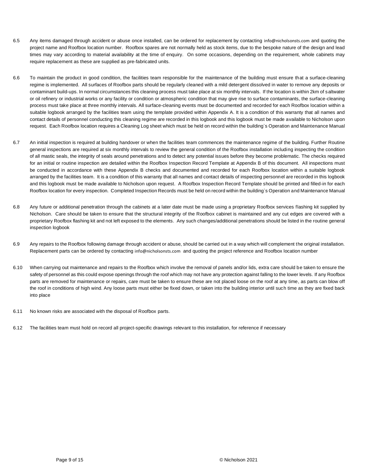- 6.5 Any items damaged through accident or abuse once installed, can be ordered for replacement by contacting [info@nicholsonsts.com](mailto:info@nicholsonsts.com) and quoting the project name and Roofbox location number. Roofbox spares are not normally held as stock items, due to the bespoke nature of the design and lead times may vary according to material availability at the time of enquiry. On some occasions, depending on the requirement, whole cabinets may require replacement as these are supplied as pre-fabricated units.
- 6.6 To maintain the product in good condition, the facilities team responsible for the maintenance of the building must ensure that a surface-cleaning regime is implemented. All surfaces of Roofbox parts should be regularly cleaned with a mild detergent dissolved in water to remove any deposits or contaminant build-ups. In normal circumstances this cleaning process must take place at six monthly intervals. If the location is within 2km of saltwater or oil refinery or industrial works or any facility or condition or atmospheric condition that may give rise to surface contaminants, the surface-cleaning process must take place at three monthly intervals. All surface-cleaning events must be documented and recorded for each Roofbox location within a suitable logbook arranged by the facilities team using the template provided within Appendix A. It is a condition of this warranty that all names and contact details of personnel conducting this cleaning regime are recorded in this logbook and this logbook must be made available to Nicholson upon request. Each Roofbox location requires a Cleaning Log sheet which must be held on record within the building`s Operation and Maintenance Manual
- 6.7 An initial inspection is required at building handover or when the facilities team commences the maintenance regime of the building. Further Routine general inspections are required at six monthly intervals to review the general condition of the Roofbox installation including inspecting the condition of all mastic seals, the integrity of seals around penetrations and to detect any potential issues before they become problematic. The checks required for an initial or routine inspection are detailed within the Roofbox Inspection Record Template at Appendix B of this document. All inspections must be conducted in accordance with these Appendix B checks and documented and recorded for each Roofbox location within a suitable logbook arranged by the facilities team. It is a condition of this warranty that all names and contact details of inspecting personnel are recorded in this logbook and this logbook must be made available to Nicholson upon request. A Roofbox Inspection Record Template should be printed and filled-in for each Roofbox location for every inspection. Completed Inspection Records must be held on record within the building`s Operation and Maintenance Manual
- 6.8 Any future or additional penetration through the cabinets at a later date must be made using a proprietary Roofbox services flashing kit supplied by Nicholson. Care should be taken to ensure that the structural integrity of the Roofbox cabinet is maintained and any cut edges are covered with a proprietary Roofbox flashing kit and not left exposed to the elements. Any such changes/additional penetrations should be listed in the routine general inspection logbook
- 6.9 Any repairs to the Roofbox following damage through accident or abuse, should be carried out in a way which will complement the original installation. Replacement parts can be ordered by contacting [info@nicholsonsts.com](mailto:info@nicholsonsts.com) and quoting the project reference and Roofbox location number
- 6.10 When carrying out maintenance and repairs to the Roofbox which involve the removal of panels and/or lids, extra care should be taken to ensure the safety of personnel as this could expose openings through the roof which may not have any protection against falling to the lower levels. If any Roofbox parts are removed for maintenance or repairs, care must be taken to ensure these are not placed loose on the roof at any time, as parts can blow off the roof in conditions of high wind. Any loose parts must either be fixed down, or taken into the building interior until such time as they are fixed back into place
- 6.11 No known risks are associated with the disposal of Roofbox parts.
- 6.12 The facilities team must hold on record all project-specific drawings relevant to this installation, for reference if necessary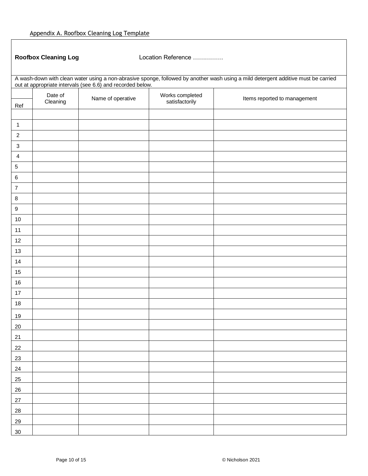**Roofbox Cleaning Log** Location Reference ……………

| A wash-down with clean water using a non-abrasive sponge, followed by another wash using a mild detergent additive must be carried out at appropriate intervals (see 6.6) and recorded below. |          |                   |                                   |                              |  |
|-----------------------------------------------------------------------------------------------------------------------------------------------------------------------------------------------|----------|-------------------|-----------------------------------|------------------------------|--|
|                                                                                                                                                                                               | Date of  | Name of operative | Works completed<br>satisfactorily | Items reported to management |  |
| Ref                                                                                                                                                                                           | Cleaning |                   |                                   |                              |  |
|                                                                                                                                                                                               |          |                   |                                   |                              |  |
| $\mathbf{1}$                                                                                                                                                                                  |          |                   |                                   |                              |  |
| $\overline{c}$                                                                                                                                                                                |          |                   |                                   |                              |  |
| $\ensuremath{\mathsf{3}}$                                                                                                                                                                     |          |                   |                                   |                              |  |
| 4                                                                                                                                                                                             |          |                   |                                   |                              |  |
| 5                                                                                                                                                                                             |          |                   |                                   |                              |  |
| $\,6$                                                                                                                                                                                         |          |                   |                                   |                              |  |
| $\boldsymbol{7}$                                                                                                                                                                              |          |                   |                                   |                              |  |
| $\bf 8$                                                                                                                                                                                       |          |                   |                                   |                              |  |
| $\boldsymbol{9}$                                                                                                                                                                              |          |                   |                                   |                              |  |
| $10\,$                                                                                                                                                                                        |          |                   |                                   |                              |  |
| 11                                                                                                                                                                                            |          |                   |                                   |                              |  |
| 12                                                                                                                                                                                            |          |                   |                                   |                              |  |
| 13                                                                                                                                                                                            |          |                   |                                   |                              |  |
| $14$                                                                                                                                                                                          |          |                   |                                   |                              |  |
| 15                                                                                                                                                                                            |          |                   |                                   |                              |  |
| 16                                                                                                                                                                                            |          |                   |                                   |                              |  |
| $17\,$                                                                                                                                                                                        |          |                   |                                   |                              |  |
| 18                                                                                                                                                                                            |          |                   |                                   |                              |  |
| <u>19</u>                                                                                                                                                                                     |          |                   |                                   |                              |  |
| $20\,$                                                                                                                                                                                        |          |                   |                                   |                              |  |
| 21                                                                                                                                                                                            |          |                   |                                   |                              |  |
| 22                                                                                                                                                                                            |          |                   |                                   |                              |  |
| 23                                                                                                                                                                                            |          |                   |                                   |                              |  |
| 24                                                                                                                                                                                            |          |                   |                                   |                              |  |
|                                                                                                                                                                                               |          |                   |                                   |                              |  |
| 25                                                                                                                                                                                            |          |                   |                                   |                              |  |
| 26                                                                                                                                                                                            |          |                   |                                   |                              |  |
| $27\,$                                                                                                                                                                                        |          |                   |                                   |                              |  |
| 28                                                                                                                                                                                            |          |                   |                                   |                              |  |
| 29                                                                                                                                                                                            |          |                   |                                   |                              |  |
| $30\,$                                                                                                                                                                                        |          |                   |                                   |                              |  |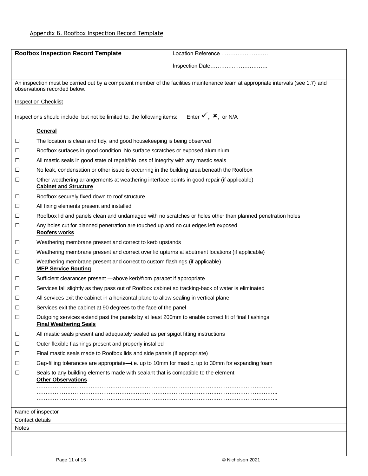|                                                                                                                                                                   | <b>Roofbox Inspection Record Template</b>                                                                                            | Location Reference                         |  |
|-------------------------------------------------------------------------------------------------------------------------------------------------------------------|--------------------------------------------------------------------------------------------------------------------------------------|--------------------------------------------|--|
|                                                                                                                                                                   |                                                                                                                                      | Inspection Date                            |  |
| An inspection must be carried out by a competent member of the facilities maintenance team at appropriate intervals (see 1.7) and<br>observations recorded below. |                                                                                                                                      |                                            |  |
|                                                                                                                                                                   | <b>Inspection Checklist</b>                                                                                                          |                                            |  |
|                                                                                                                                                                   | Inspections should include, but not be limited to, the following items:                                                              | Enter $\checkmark$ , $\checkmark$ , or N/A |  |
|                                                                                                                                                                   | General                                                                                                                              |                                            |  |
| $\Box$                                                                                                                                                            | The location is clean and tidy, and good housekeeping is being observed                                                              |                                            |  |
| □                                                                                                                                                                 | Roofbox surfaces in good condition. No surface scratches or exposed aluminium                                                        |                                            |  |
| $\Box$                                                                                                                                                            | All mastic seals in good state of repair/No loss of integrity with any mastic seals                                                  |                                            |  |
| $\Box$                                                                                                                                                            | No leak, condensation or other issue is occurring in the building area beneath the Roofbox                                           |                                            |  |
| $\Box$                                                                                                                                                            | Other weathering arrangements at weathering interface points in good repair (if applicable)<br><b>Cabinet and Structure</b>          |                                            |  |
| $\Box$                                                                                                                                                            | Roofbox securely fixed down to roof structure                                                                                        |                                            |  |
| $\Box$                                                                                                                                                            | All fixing elements present and installed                                                                                            |                                            |  |
| $\Box$                                                                                                                                                            | Roofbox lid and panels clean and undamaged with no scratches or holes other than planned penetration holes                           |                                            |  |
| $\Box$                                                                                                                                                            | Any holes cut for planned penetration are touched up and no cut edges left exposed<br>Roofers works                                  |                                            |  |
| $\Box$                                                                                                                                                            | Weathering membrane present and correct to kerb upstands                                                                             |                                            |  |
| $\Box$                                                                                                                                                            | Weathering membrane present and correct over lid upturns at abutment locations (if applicable)                                       |                                            |  |
| $\Box$                                                                                                                                                            | Weathering membrane present and correct to custom flashings (if applicable)<br><b>MEP Service Routing</b>                            |                                            |  |
| $\Box$                                                                                                                                                            | Sufficient clearances present -above kerb/from parapet if appropriate                                                                |                                            |  |
| □                                                                                                                                                                 | Services fall slightly as they pass out of Roofbox cabinet so tracking-back of water is eliminated                                   |                                            |  |
| □                                                                                                                                                                 | All services exit the cabinet in a horizontal plane to allow sealing in vertical plane                                               |                                            |  |
| $\Box$                                                                                                                                                            | Services exit the cabinet at 90 degrees to the face of the panel                                                                     |                                            |  |
| $\Box$                                                                                                                                                            | Outgoing services extend past the panels by at least 200mm to enable correct fit of final flashings<br><b>Final Weathering Seals</b> |                                            |  |
| $\Box$                                                                                                                                                            | All mastic seals present and adequately sealed as per spigot fitting instructions                                                    |                                            |  |
| $\Box$                                                                                                                                                            | Outer flexible flashings present and properly installed                                                                              |                                            |  |
| □                                                                                                                                                                 | Final mastic seals made to Roofbox lids and side panels (if appropriate)                                                             |                                            |  |
| □                                                                                                                                                                 | Gap-filling tolerances are appropriate—i.e. up to 10mm for mastic, up to 30mm for expanding foam                                     |                                            |  |
| □                                                                                                                                                                 | Seals to any building elements made with sealant that is compatible to the element<br><b>Other Observations</b>                      |                                            |  |
|                                                                                                                                                                   |                                                                                                                                      |                                            |  |
|                                                                                                                                                                   | Name of inspector                                                                                                                    |                                            |  |
| Contact details<br><b>Notes</b>                                                                                                                                   |                                                                                                                                      |                                            |  |
|                                                                                                                                                                   |                                                                                                                                      |                                            |  |
|                                                                                                                                                                   |                                                                                                                                      |                                            |  |
|                                                                                                                                                                   |                                                                                                                                      |                                            |  |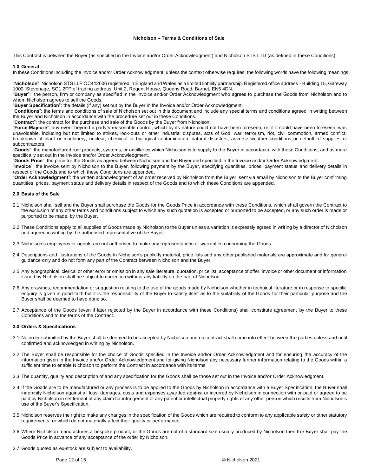#### **Nicholson – Terms & Conditions of Sale**

This Contract is between the Buyer (as specified in the Invoice and/or Order Acknowledgment) and Nicholson STS LTD (as defined in these Conditions).

#### **1.0 General**

In these Conditions including the Invoice and/or Order Acknowledgment, unless the context otherwise requires, the following words have the following meanings:

"**Nicholson**": Nicholson STS LLP OC412006 registered in England and Wales as a limited liability partnership. Registered office address - Building 15, Gateway 1000, Stevenage, SG1 2FP of trading address, Unit 2, Regent House, Queens Road, Barnet, EN5 4DN.

"**Buyer**": the person, firm or company as specified in the Invoice and/or Order Acknowledgment who agrees to purchase the Goods from Nicholson and to whom Nicholson agrees to sell the Goods.

"**Buyer Specification**": the details (if any) set out by the Buyer in the Invoice and/or Order Acknowledgment.

"**Conditions**": the terms and conditions of sale of Nicholson set out in this document and include any special terms and conditions agreed in writing between the Buyer and Nicholson in accordance with the procedure set out in these Conditions.

"**Contract**": the contract for the purchase and sale of the Goods by the Buyer from Nicholson.

"**Force Majeure**": any event beyond a party's reasonable control, which by its nature could not have been foreseen, or, if it could have been foreseen, was unavoidable, including but not limited to strikes, lock-outs or other industrial disputes, acts of God, war, terrorism, riot, civil commotion, armed conflict, breakdown of plant or machinery, nuclear, chemical or biological contamination, natural disasters, adverse weather conditions or default of supplies or subcontractors.

"**Goods**": the manufactured roof products, systems, or ancillaries which Nicholson is to supply to the Buyer in accordance with these Conditions, and as more specifically set out in the Invoice and/or Order Acknowledgment.

"**Goods Price**": the price for the Goods as agreed between Nicholson and the Buyer and specified in the Invoice and/or Order Acknowledgment.

"**Invoice**": the invoice sent by Nicholson to the Buyer, following payment by the Buyer, specifying quantities, prices, payment status and delivery details in respect of the Goods and to which these Conditions are appended.

"**Order Acknowledgment**": the written acknowledgment of an order received by Nicholson from the Buyer, sent via email by Nicholson to the Buyer confirming quantities, prices, payment status and delivery details in respect of the Goods and to which these Conditions are appended.

#### **2.0 Basis of the Sale**

- 2.1 Nicholson shall sell and the Buyer shall purchase the Goods for the Goods Price in accordance with these Conditions, which shall govern the Contract to the exclusion of any other terms and conditions subject to which any such quotation is accepted or purported to be accepted, or any such order is made or purported to be made, by the Buyer.
- 2.2 These Conditions apply to all supplies of Goods made by Nicholson to the Buyer unless a variation is expressly agreed in writing by a director of Nicholson and agreed in writing by the authorised representative of the Buyer.
- 2.3 Nicholson's employees or agents are not authorised to make any representations or warranties concerning the Goods.
- 2.4 Descriptions and illustrations of the Goods in Nicholson's publicity material, price lists and any other published materials are approximate and for general guidance only and do not form any part of the Contract between Nicholson and the Buyer.
- 2.5 Any typographical, clerical or other error or omission in any sale literature, quotation, price list, acceptance of offer, invoice or other document or information issued by Nicholson shall be subject to correction without any liability on the part of Nicholson.
- 2.6 Any drawings, recommendation or suggestion relating to the use of the goods made by Nicholson whether in technical literature or in response to specific enquiry is given in good faith but it is the responsibility of the Buyer to satisfy itself as to the suitability of the Goods for their particular purpose and the Buyer shall be deemed to have done so.
- 2.7 Acceptance of the Goods (even if later rejected by the Buyer in accordance with these Conditions) shall constitute agreement by the Buyer to these Conditions and to the terms of the Contract.

#### **3.0 Orders & Specifications**

- 3.1 No order submitted by the Buyer shall be deemed to be accepted by Nicholson and no contract shall come into effect between the parties unless and until confirmed and acknowledged in writing by Nicholson.
- 3.2 The Buyer shall be responsible for the choice of Goods specified in the Invoice and/or Order Acknowledgment and for ensuring the accuracy of the information given in the Invoice and/or Order Acknowledgment and for giving Nicholson any necessary further information relating to the Goods within a sufficient time to enable Nicholson to perform the Contract in accordance with its terms.
- 3.3 The quantity, quality and description of and any specification for the Goods shall be those set out in the Invoice and/or Order Acknowledgment.
- 3.4 If the Goods are to be manufactured or any process is to be applied to the Goods by Nicholson in accordance with a Buyer Specification, the Buyer shall indemnify Nicholson against all loss, damages, costs and expenses awarded against or incurred by Nicholson in connection with or paid or agreed to be paid by Nicholson in settlement of any claim for infringement of any patent or intellectual property rights of any other person which results from Nicholson's use of the Buyer's Specification.
- 3.5 Nicholson reserves the right to make any changes in the specification of the Goods which are required to conform to any applicable safety or other statutory requirements, or which do not materially affect their quality or performance.
- 3.6 Where Nicholson manufactures a bespoke product, or the Goods are not of a standard size usually produced by Nicholson then the Buyer shall pay the Goods Price in advance of any acceptance of the order by Nicholson.
- 3.7 Goods quoted as ex-stock are subject to availability.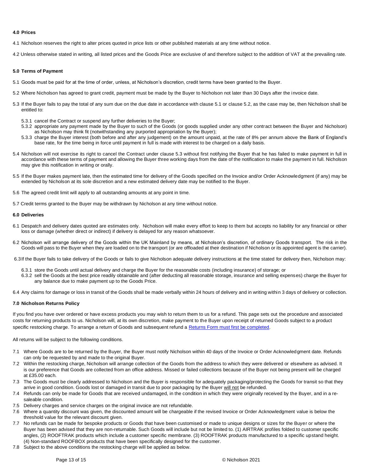#### **4.0 Prices**

4.1 Nicholson reserves the right to alter prices quoted in price lists or other published materials at any time without notice.

4.2 Unless otherwise stated in writing, all listed prices and the Goods Price are exclusive of and therefore subject to the addition of VAT at the prevailing rate.

#### **5.0 Terms of Payment**

- 5.1 Goods must be paid for at the time of order, unless, at Nicholson's discretion, credit terms have been granted to the Buyer.
- 5.2 Where Nicholson has agreed to grant credit, payment must be made by the Buyer to Nicholson not later than 30 Days after the invoice date.
- 5.3 If the Buyer fails to pay the total of any sum due on the due date in accordance with clause 5.1 or clause 5.2, as the case may be, then Nicholson shall be entitled to:
	- 5.3.1 cancel the Contract or suspend any further deliveries to the Buyer;
	- 5.3.2 appropriate any payment made by the Buyer to such of the Goods (or goods supplied under any other contract between the Buyer and Nicholson) as Nicholson may think fit (notwithstanding any purported appropriation by the Buyer);
	- 5.3.3 charge the Buyer interest (both before and after any judgement) on the amount unpaid, at the rate of 8% per annum above the Bank of England's base rate, for the time being in force until payment in full is made with interest to be charged on a daily basis.
- 5.4 Nicholson will not exercise its right to cancel the Contract under clause 5.3 without first notifying the Buyer that he has failed to make payment in full in accordance with these terms of payment and allowing the Buyer three working days from the date of the notification to make the payment in full. Nicholson may give this notification in writing or orally.
- 5.5 If the Buyer makes payment late, then the estimated time for delivery of the Goods specified on the Invoice and/or Order Acknowledgment (if any) may be extended by Nicholson at its sole discretion and a new estimated delivery date may be notified to the Buyer.
- 5.6 The agreed credit limit will apply to all outstanding amounts at any point in time.
- 5.7 Credit terms granted to the Buyer may be withdrawn by Nicholson at any time without notice.

#### **6.0 Deliveries**

- 6.1 Despatch and delivery dates quoted are estimates only. Nicholson will make every effort to keep to them but accepts no liability for any financial or other loss or damage (whether direct or indirect) if delivery is delayed for any reason whatsoever.
- 6.2 Nicholson will arrange delivery of the Goods within the UK Mainland by means, at Nicholson's discretion, of ordinary Goods transport. The risk in the Goods will pass to the Buyer when they are loaded on to the transport (or are offloaded at their destination if Nicholson or its appointed agent is the carrier).

6.3If the Buyer fails to take delivery of the Goods or fails to give Nicholson adequate delivery instructions at the time stated for delivery then, Nicholson may:

- 6.3.1 store the Goods until actual delivery and charge the Buyer for the reasonable costs (including insurance) of storage; or
- 6.3.2 sell the Goods at the best price readily obtainable and (after deducting all reasonable storage, insurance and selling expenses) charge the Buyer for any balance due to make payment up to the Goods Price.

6.4 Any claims for damage or loss in transit of the Goods shall be made verbally within 24 hours of delivery and in writing within 3 days of delivery or collection.

#### **7.0 Nicholson Returns Policy**

If you find you have over ordered or have excess products you may wish to return them to us for a refund. This page sets out the procedure and associated costs for returning products to us. Nicholson will, at its own discretion, make payment to the Buyer upon receipt of returned Goods subject to a product specific restocking charge. To arrange a return of Goods and subsequent refund a Returns Form must first be completed.

All returns will be subject to the following conditions.

- 7.1 Where Goods are to be returned by the Buyer, the Buyer must notify Nicholson within 40 days of the Invoice or Order Acknowledgment date. Refunds can only be requested by and made to the original Buyer.
- 7.2 Within the restocking charge, Nicholson will arrange collection of the Goods from the address to which they were delivered or elsewhere as advised. It is our preference that Goods are collected from an office address. Missed or failed collections because of the Buyer not being present will be charged at £35.00 each.
- 7.3 The Goods must be clearly addressed to Nicholson and the Buyer is responsible for adequately packaging/protecting the Goods for transit so that they arrive in good condition. Goods lost or damaged in transit due to poor packaging by the Buyer will not be refunded.
- 7.4 Refunds can only be made for Goods that are received undamaged, in the condition in which they were originally received by the Buyer, and in a resaleable condition.
- 7.5 Delivery charges and service charges on the original invoice are not refundable.
- 7.6 Where a quantity discount was given, the discounted amount will be chargeable if the revised Invoice or Order Acknowledgment value is below the threshold value for the relevant discount given.
- 7.7 No refunds can be made for bespoke products or Goods that have been customised or made to unique designs or sizes for the Buyer or where the Buyer has been advised that they are non-returnable. Such Goods will include but not be limited to. (1) AIRTRAK profiles folded to customer specific angles, (2) ROOFTRAK products which include a customer specific membrane. (3) ROOFTRAK products manufactured to a specific upstand height. (4) Non-standard ROOFBOX products that have been specifically designed for the customer.
- 7.8 Subject to the above conditions the restocking charge will be applied as below.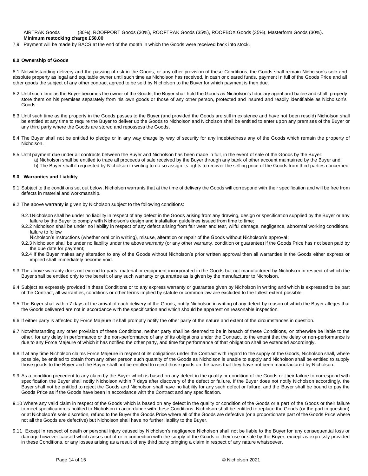AIRTRAK Goods (30%), ROOFPORT Goods (30%), ROOFTRAK Goods (35%), ROOFBOX Goods (35%), Masterform Goods (30%). **Minimum restocking charge £50.00**

7.9 Payment will be made by BACS at the end of the month in which the Goods were received back into stock.

#### **8.0 Ownership of Goods**

8.1 Notwithstanding delivery and the passing of risk in the Goods, or any other provision of these Conditions, the Goods shall remain Nicholson's sole and absolute property as legal and equitable owner until such time as Nicholson has received, in cash or cleared funds, payment in full of the Goods Price and all other goods the subject of any other contract agreed to be sold by Nicholson to the Buyer for which payment is then due.

- 8.2 Until such time as the Buyer becomes the owner of the Goods, the Buyer shall hold the Goods as Nicholson's fiduciary agent and bailee and shall properly store them on his premises separately from his own goods or those of any other person, protected and insured and readily identifiable as Nicholson's Goods.
- 8.3 Until such time as the property in the Goods passes to the Buyer (and provided the Goods are still in existence and have not been resold) Nicholson shall be entitled at any time to require the Buyer to deliver up the Goods to Nicholson and Nicholson shall be entitled to enter upon any premises of the Buyer or any third party where the Goods are stored and repossess the Goods.
- 8.4 The Buyer shall not be entitled to pledge or in any way charge by way of security for any indebtedness any of the Goods which remain the property of Nicholson.
- 8.5 Until payment due under all contracts between the Buyer and Nicholson has been made in full, in the event of sale of the Goods by the Buyer:
	- a) Nicholson shall be entitled to trace all proceeds of sale received by the Buyer through any bank of other account maintained by the Buyer and: b) The Buyer shall if requested by Nicholson in writing to do so assign its rights to recover the selling price of the Goods from third parties concerned.

#### **9.0 Warranties and Liability**

- 9.1 Subject to the conditions set out below, Nicholson warrants that at the time of delivery the Goods will correspond with their specification and will be free from defects in material and workmanship.
- 9.2 The above warranty is given by Nicholson subject to the following conditions:
	- 9.2.1Nicholson shall be under no liability in respect of any defect in the Goods arising from any drawing, design or specification supplied by the Buyer or any failure by the Buyer to comply with Nicholson's design and installation guidelines issued from time to time;
	- 9.2.2 Nicholson shall be under no liability in respect of any defect arising from fair wear and tear, wilful damage, negligence, abnormal working conditions, failure to follow
	- Nicholson's instructions (whether oral or in writing), misuse, alteration or repair of the Goods without Nicholson's approval;
	- 9.2.3 Nicholson shall be under no liability under the above warranty (or any other warranty, condition or guarantee) if the Goods Price has not been paid by the due date for payment;
	- 9.2.4 If the Buyer makes any alteration to any of the Goods without Nicholson's prior written approval then all warranties in the Goods either express or implied shall immediately become void.
- 9.3 The above warranty does not extend to parts, material or equipment incorporated in the Goods but not manufactured by Nicholson in respect of which the Buyer shall be entitled only to the benefit of any such warranty or guarantee as is given by the manufacturer to Nicholson.
- 9.4 Subject as expressly provided in these Conditions or to any express warranty or guarantee given by Nicholson in writing and which is expressed to be part of the Contract, all warranties, conditions or other terms implied by statute or common law are excluded to the fullest extent possible.
- 9.5 The Buyer shall within 7 days of the arrival of each delivery of the Goods, notify Nicholson in writing of any defect by reason of which the Buyer alleges that the Goods delivered are not in accordance with the specification and which should be apparent on reasonable inspection.
- 9.6 If either party is affected by Force Majeure it shall promptly notify the other party of the nature and extent of the circumstances in question.
- 9.7 Notwithstanding any other provision of these Conditions, neither party shall be deemed to be in breach of these Conditions, or otherwise be liable to the other, for any delay in performance or the non-performance of any of its obligations under the Contract, to the extent that the delay or non-performance is due to any Force Majeure of which it has notified the other party, and time for performance of that obligation shall be extended accordingly.
- 9.8 If at any time Nicholson claims Force Majeure in respect of its obligations under the Contract with regard to the supply of the Goods, Nicholson shall, where possible, be entitled to obtain from any other person such quantity of the Goods as Nicholson is unable to supply and Nicholson shall be entitled to supply those goods to the Buyer and the Buyer shall not be entitled to reject those goods on the basis that they have not been manufactured by Nicholson.
- 9.9 As a condition precedent to any claim by the Buyer which is based on any defect in the quality or condition of the Goods or their failure to correspond with specification the Buyer shall notify Nicholson within 7 days after discovery of the defect or failure. If the Buyer does not notify Nicholson accordingly, the Buyer shall not be entitled to reject the Goods and Nicholson shall have no liability for any such defect or failure, and the Buyer shall be bound to pay the Goods Price as if the Goods have been in accordance with the Contract and any specification.
- 9.10 Where any valid claim in respect of the Goods which is based on any defect in the quality or condition of the Goods or a part of the Goods or their failure to meet specification is notified to Nicholson in accordance with these Conditions, Nicholson shall be entitled to replace the Goods (or the part in question) or at Nicholson's sole discretion, refund to the Buyer the Goods Price where all of the Goods are defective (or a proportionate part of the Goods Price where not all the Goods are defective) but Nicholson shall have no further liability to the Buyer.
- 9.11 Except in respect of death or personal injury caused by Nicholson's negligence Nicholson shall not be liable to the Buyer for any consequential loss or damage however caused which arises out of or in connection with the supply of the Goods or their use or sale by the Buyer, except as expressly provided in these Conditions, or any losses arising as a result of any third party bringing a claim in respect of any nature whatsoever.